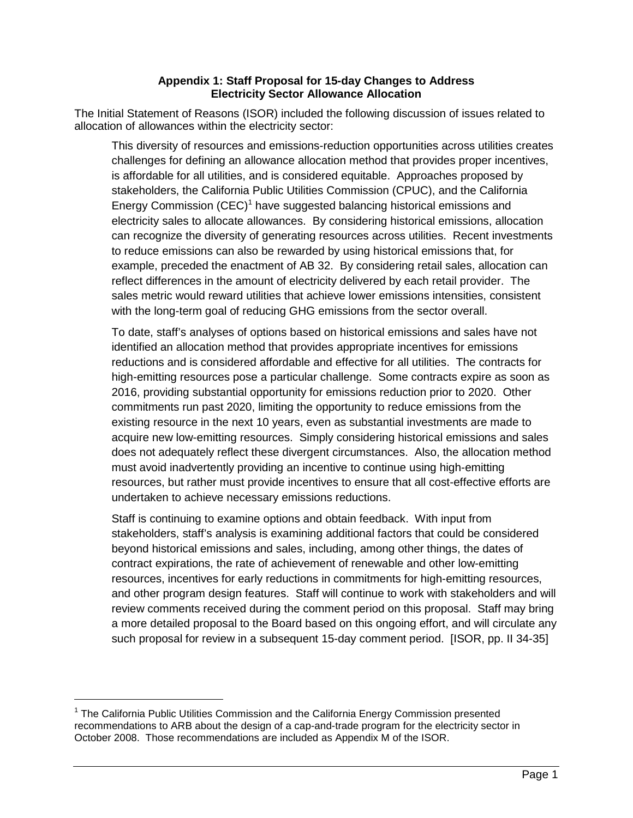## **Appendix 1: Staff Proposal for 15-day Changes to Address Electricity Sector Allowance Allocation**

The Initial Statement of Reasons (ISOR) included the following discussion of issues related to allocation of allowances within the electricity sector:

This diversity of resources and emissions-reduction opportunities across utilities creates challenges for defining an allowance allocation method that provides proper incentives, is affordable for all utilities, and is considered equitable. Approaches proposed by stakeholders, the California Public Utilities Commission (CPUC), and the California Energy Commission (CEC)<sup>1</sup> have suggested balancing historical emissions and electricity sales to allocate allowances. By considering historical emissions, allocation can recognize the diversity of generating resources across utilities. Recent investments to reduce emissions can also be rewarded by using historical emissions that, for example, preceded the enactment of AB 32. By considering retail sales, allocation can reflect differences in the amount of electricity delivered by each retail provider. The sales metric would reward utilities that achieve lower emissions intensities, consistent with the long-term goal of reducing GHG emissions from the sector overall.

To date, staff's analyses of options based on historical emissions and sales have not identified an allocation method that provides appropriate incentives for emissions reductions and is considered affordable and effective for all utilities. The contracts for high-emitting resources pose a particular challenge. Some contracts expire as soon as 2016, providing substantial opportunity for emissions reduction prior to 2020. Other commitments run past 2020, limiting the opportunity to reduce emissions from the existing resource in the next 10 years, even as substantial investments are made to acquire new low-emitting resources. Simply considering historical emissions and sales does not adequately reflect these divergent circumstances. Also, the allocation method must avoid inadvertently providing an incentive to continue using high-emitting resources, but rather must provide incentives to ensure that all cost-effective efforts are undertaken to achieve necessary emissions reductions.

Staff is continuing to examine options and obtain feedback. With input from stakeholders, staff's analysis is examining additional factors that could be considered beyond historical emissions and sales, including, among other things, the dates of contract expirations, the rate of achievement of renewable and other low-emitting resources, incentives for early reductions in commitments for high-emitting resources, and other program design features. Staff will continue to work with stakeholders and will review comments received during the comment period on this proposal. Staff may bring a more detailed proposal to the Board based on this ongoing effort, and will circulate any such proposal for review in a subsequent 15-day comment period. [ISOR, pp. II 34-35]

<u>.</u>

<sup>&</sup>lt;sup>1</sup> The California Public Utilities Commission and the California Energy Commission presented recommendations to ARB about the design of a cap-and-trade program for the electricity sector in October 2008. Those recommendations are included as Appendix M of the ISOR.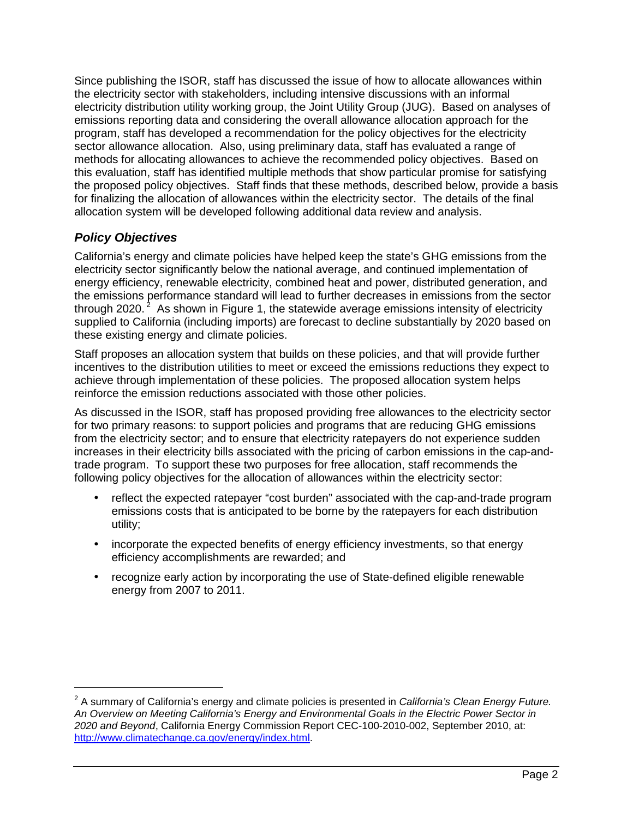Since publishing the ISOR, staff has discussed the issue of how to allocate allowances within the electricity sector with stakeholders, including intensive discussions with an informal electricity distribution utility working group, the Joint Utility Group (JUG). Based on analyses of emissions reporting data and considering the overall allowance allocation approach for the program, staff has developed a recommendation for the policy objectives for the electricity sector allowance allocation. Also, using preliminary data, staff has evaluated a range of methods for allocating allowances to achieve the recommended policy objectives. Based on this evaluation, staff has identified multiple methods that show particular promise for satisfying the proposed policy objectives. Staff finds that these methods, described below, provide a basis for finalizing the allocation of allowances within the electricity sector. The details of the final allocation system will be developed following additional data review and analysis.

## **Policy Objectives**

-

California's energy and climate policies have helped keep the state's GHG emissions from the electricity sector significantly below the national average, and continued implementation of energy efficiency, renewable electricity, combined heat and power, distributed generation, and the emissions performance standard will lead to further decreases in emissions from the sector through 2020.<sup>2</sup> As shown in Figure 1, the statewide average emissions intensity of electricity supplied to California (including imports) are forecast to decline substantially by 2020 based on these existing energy and climate policies.

Staff proposes an allocation system that builds on these policies, and that will provide further incentives to the distribution utilities to meet or exceed the emissions reductions they expect to achieve through implementation of these policies. The proposed allocation system helps reinforce the emission reductions associated with those other policies.

As discussed in the ISOR, staff has proposed providing free allowances to the electricity sector for two primary reasons: to support policies and programs that are reducing GHG emissions from the electricity sector; and to ensure that electricity ratepayers do not experience sudden increases in their electricity bills associated with the pricing of carbon emissions in the cap-andtrade program. To support these two purposes for free allocation, staff recommends the following policy objectives for the allocation of allowances within the electricity sector:

- reflect the expected ratepayer "cost burden" associated with the cap-and-trade program emissions costs that is anticipated to be borne by the ratepayers for each distribution utility;
- incorporate the expected benefits of energy efficiency investments, so that energy efficiency accomplishments are rewarded; and
- recognize early action by incorporating the use of State-defined eligible renewable energy from 2007 to 2011.

 $2$  A summary of California's energy and climate policies is presented in California's Clean Energy Future. An Overview on Meeting California's Energy and Environmental Goals in the Electric Power Sector in 2020 and Beyond, California Energy Commission Report CEC-100-2010-002, September 2010, at: http://www.climatechange.ca.gov/energy/index.html.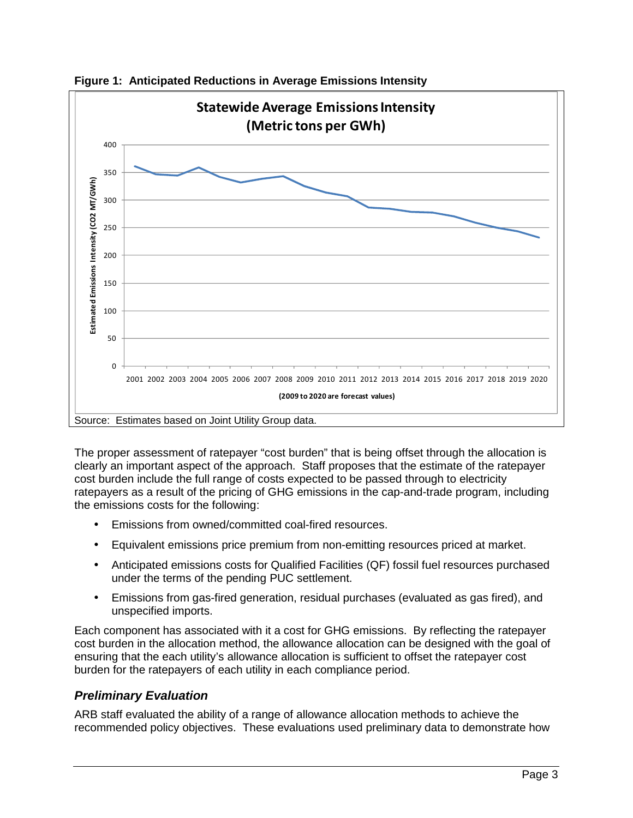

**Figure 1: Anticipated Reductions in Average Emissions Intensity** 

The proper assessment of ratepayer "cost burden" that is being offset through the allocation is clearly an important aspect of the approach. Staff proposes that the estimate of the ratepayer cost burden include the full range of costs expected to be passed through to electricity ratepayers as a result of the pricing of GHG emissions in the cap-and-trade program, including the emissions costs for the following:

- Emissions from owned/committed coal-fired resources.
- Equivalent emissions price premium from non-emitting resources priced at market.
- Anticipated emissions costs for Qualified Facilities (QF) fossil fuel resources purchased under the terms of the pending PUC settlement.
- Emissions from gas-fired generation, residual purchases (evaluated as gas fired), and unspecified imports.

Each component has associated with it a cost for GHG emissions. By reflecting the ratepayer cost burden in the allocation method, the allowance allocation can be designed with the goal of ensuring that the each utility's allowance allocation is sufficient to offset the ratepayer cost burden for the ratepayers of each utility in each compliance period.

## **Preliminary Evaluation**

ARB staff evaluated the ability of a range of allowance allocation methods to achieve the recommended policy objectives. These evaluations used preliminary data to demonstrate how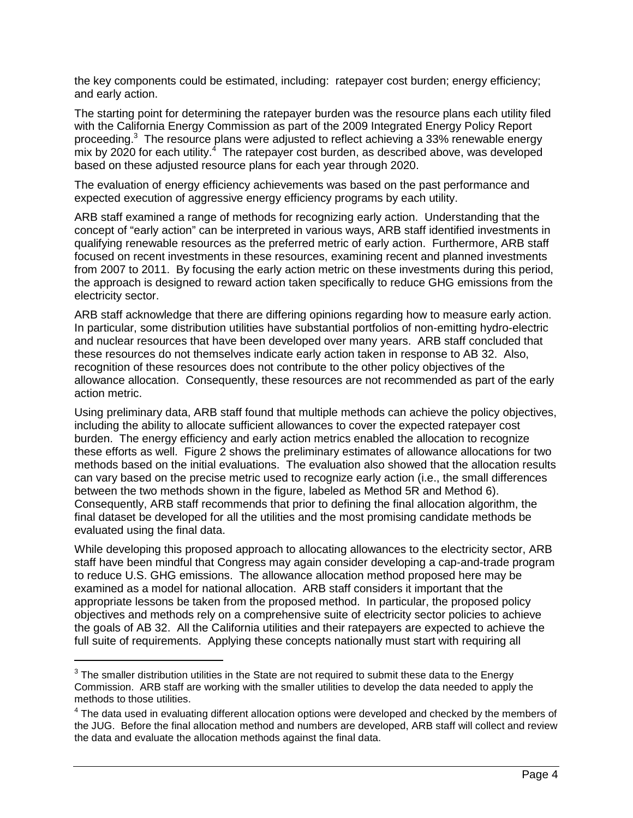the key components could be estimated, including: ratepayer cost burden; energy efficiency; and early action.

The starting point for determining the ratepayer burden was the resource plans each utility filed with the California Energy Commission as part of the 2009 Integrated Energy Policy Report proceeding.<sup>3</sup> The resource plans were adjusted to reflect achieving a 33% renewable energy  $m$ ix by 2020 for each utility. $4$  The ratepayer cost burden, as described above, was developed based on these adjusted resource plans for each year through 2020.

The evaluation of energy efficiency achievements was based on the past performance and expected execution of aggressive energy efficiency programs by each utility.

ARB staff examined a range of methods for recognizing early action. Understanding that the concept of "early action" can be interpreted in various ways, ARB staff identified investments in qualifying renewable resources as the preferred metric of early action. Furthermore, ARB staff focused on recent investments in these resources, examining recent and planned investments from 2007 to 2011. By focusing the early action metric on these investments during this period, the approach is designed to reward action taken specifically to reduce GHG emissions from the electricity sector.

ARB staff acknowledge that there are differing opinions regarding how to measure early action. In particular, some distribution utilities have substantial portfolios of non-emitting hydro-electric and nuclear resources that have been developed over many years. ARB staff concluded that these resources do not themselves indicate early action taken in response to AB 32. Also, recognition of these resources does not contribute to the other policy objectives of the allowance allocation. Consequently, these resources are not recommended as part of the early action metric.

Using preliminary data, ARB staff found that multiple methods can achieve the policy objectives, including the ability to allocate sufficient allowances to cover the expected ratepayer cost burden. The energy efficiency and early action metrics enabled the allocation to recognize these efforts as well. Figure 2 shows the preliminary estimates of allowance allocations for two methods based on the initial evaluations. The evaluation also showed that the allocation results can vary based on the precise metric used to recognize early action (i.e., the small differences between the two methods shown in the figure, labeled as Method 5R and Method 6). Consequently, ARB staff recommends that prior to defining the final allocation algorithm, the final dataset be developed for all the utilities and the most promising candidate methods be evaluated using the final data.

While developing this proposed approach to allocating allowances to the electricity sector, ARB staff have been mindful that Congress may again consider developing a cap-and-trade program to reduce U.S. GHG emissions. The allowance allocation method proposed here may be examined as a model for national allocation. ARB staff considers it important that the appropriate lessons be taken from the proposed method. In particular, the proposed policy objectives and methods rely on a comprehensive suite of electricity sector policies to achieve the goals of AB 32. All the California utilities and their ratepayers are expected to achieve the full suite of requirements. Applying these concepts nationally must start with requiring all

<u>.</u>

 $3$  The smaller distribution utilities in the State are not required to submit these data to the Energy Commission. ARB staff are working with the smaller utilities to develop the data needed to apply the methods to those utilities.

 $<sup>4</sup>$  The data used in evaluating different allocation options were developed and checked by the members of</sup> the JUG. Before the final allocation method and numbers are developed, ARB staff will collect and review the data and evaluate the allocation methods against the final data.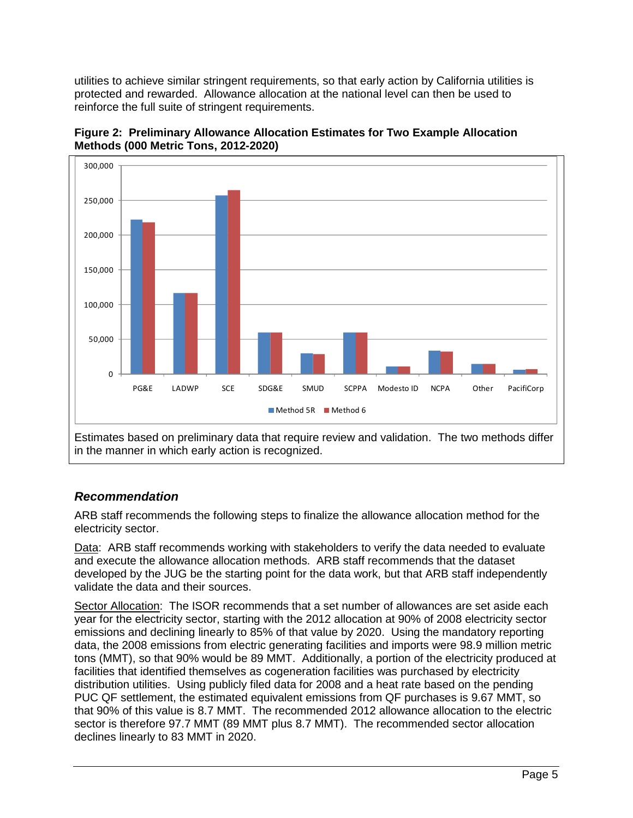utilities to achieve similar stringent requirements, so that early action by California utilities is protected and rewarded. Allowance allocation at the national level can then be used to reinforce the full suite of stringent requirements.





## **Recommendation**

ARB staff recommends the following steps to finalize the allowance allocation method for the electricity sector.

Data: ARB staff recommends working with stakeholders to verify the data needed to evaluate and execute the allowance allocation methods. ARB staff recommends that the dataset developed by the JUG be the starting point for the data work, but that ARB staff independently validate the data and their sources.

Sector Allocation: The ISOR recommends that a set number of allowances are set aside each year for the electricity sector, starting with the 2012 allocation at 90% of 2008 electricity sector emissions and declining linearly to 85% of that value by 2020. Using the mandatory reporting data, the 2008 emissions from electric generating facilities and imports were 98.9 million metric tons (MMT), so that 90% would be 89 MMT. Additionally, a portion of the electricity produced at facilities that identified themselves as cogeneration facilities was purchased by electricity distribution utilities. Using publicly filed data for 2008 and a heat rate based on the pending PUC QF settlement, the estimated equivalent emissions from QF purchases is 9.67 MMT, so that 90% of this value is 8.7 MMT. The recommended 2012 allowance allocation to the electric sector is therefore 97.7 MMT (89 MMT plus 8.7 MMT). The recommended sector allocation declines linearly to 83 MMT in 2020.